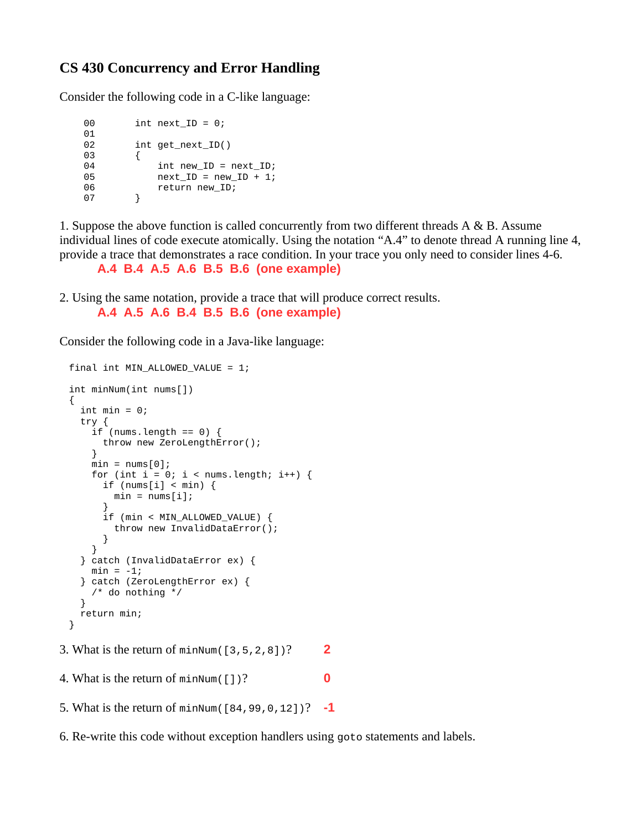## **CS 430 Concurrency and Error Handling**

Consider the following code in a C-like language:

```
00 int next_ID = 0;
01<br>02
        int get\_next\_ID()03 {
           int new_ID = next_ID;
05 next_ID = new_ID + 1;
06 return new_ID;<br>07 }
07
```
1. Suppose the above function is called concurrently from two different threads A & B. Assume individual lines of code execute atomically. Using the notation "A.4" to denote thread A running line 4, provide a trace that demonstrates a race condition. In your trace you only need to consider lines 4-6.

```
A.4 B.4 A.5 A.6 B.5 B.6 (one example)
```
2. Using the same notation, provide a trace that will produce correct results.

```
A.4 A.5 A.6 B.4 B.5 B.6 (one example)
```
Consider the following code in a Java-like language:

```
final int MIN_ALLOWED_VALUE = 1;
int minNum(int nums[])
{
  int min = 0;
   try {
    if (nums.length == 0) {
      throw new ZeroLengthError();
 }
    min = nums[0];for (int i = 0; i < nums.length; i++) {
      if (nums[i] < min) {
        min = nums[i]; }
       if (min < MIN_ALLOWED_VALUE) {
         throw new InvalidDataError();
       }
     }
  } catch (InvalidDataError ex) {
    min = -1; } catch (ZeroLengthError ex) {
     /* do nothing */
 }
   return min;
}
```

```
3. What is the return of minNum([3,5,2,8])? 2
```
4. What is the return of minNum([])? **0**

```
5. What is the return of minNum([84,99,0,12])? -1
```
6. Re-write this code without exception handlers using goto statements and labels.